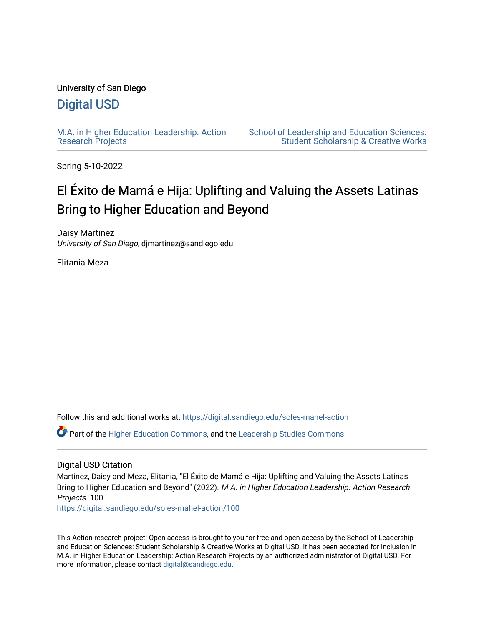# University of San Diego

# [Digital USD](https://digital.sandiego.edu/)

[M.A. in Higher Education Leadership: Action](https://digital.sandiego.edu/soles-mahel-action) [Research Projects](https://digital.sandiego.edu/soles-mahel-action) 

[School of Leadership and Education Sciences:](https://digital.sandiego.edu/soles-student)  [Student Scholarship & Creative Works](https://digital.sandiego.edu/soles-student) 

Spring 5-10-2022

# El Éxito de Mamá e Hija: Uplifting and Valuing the Assets Latinas Bring to Higher Education and Beyond

Daisy Martinez University of San Diego, djmartinez@sandiego.edu

Elitania Meza

Follow this and additional works at: [https://digital.sandiego.edu/soles-mahel-action](https://digital.sandiego.edu/soles-mahel-action?utm_source=digital.sandiego.edu%2Fsoles-mahel-action%2F100&utm_medium=PDF&utm_campaign=PDFCoverPages)

Part of the [Higher Education Commons,](http://network.bepress.com/hgg/discipline/1245?utm_source=digital.sandiego.edu%2Fsoles-mahel-action%2F100&utm_medium=PDF&utm_campaign=PDFCoverPages) and the [Leadership Studies Commons](http://network.bepress.com/hgg/discipline/1250?utm_source=digital.sandiego.edu%2Fsoles-mahel-action%2F100&utm_medium=PDF&utm_campaign=PDFCoverPages)

## Digital USD Citation

Martinez, Daisy and Meza, Elitania, "El Éxito de Mamá e Hija: Uplifting and Valuing the Assets Latinas Bring to Higher Education and Beyond" (2022). M.A. in Higher Education Leadership: Action Research Projects. 100.

[https://digital.sandiego.edu/soles-mahel-action/100](https://digital.sandiego.edu/soles-mahel-action/100?utm_source=digital.sandiego.edu%2Fsoles-mahel-action%2F100&utm_medium=PDF&utm_campaign=PDFCoverPages)

This Action research project: Open access is brought to you for free and open access by the School of Leadership and Education Sciences: Student Scholarship & Creative Works at Digital USD. It has been accepted for inclusion in M.A. in Higher Education Leadership: Action Research Projects by an authorized administrator of Digital USD. For more information, please contact [digital@sandiego.edu.](mailto:digital@sandiego.edu)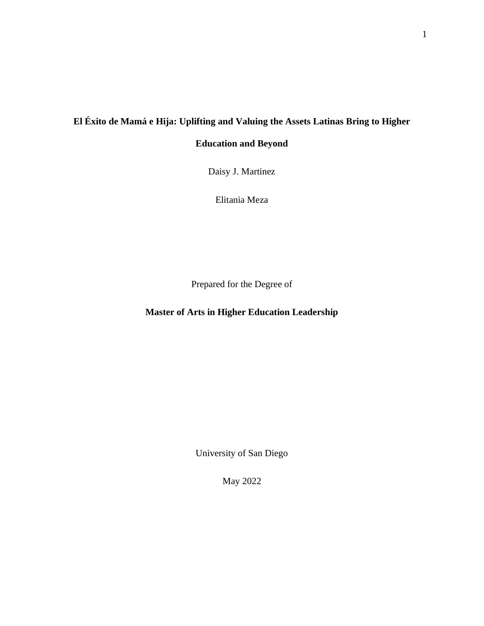# **El Éxito de Mamá e Hija: Uplifting and Valuing the Assets Latinas Bring to Higher**

**Education and Beyond** 

Daisy J. Martinez

Elitania Meza

Prepared for the Degree of

**Master of Arts in Higher Education Leadership**

University of San Diego

May 2022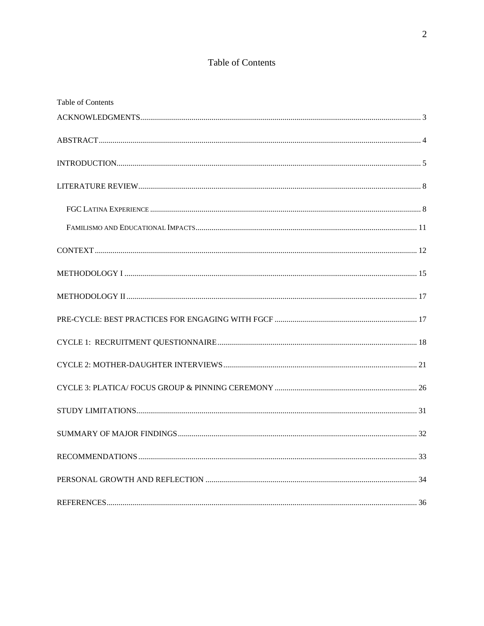# Table of Contents

| Table of Contents |  |
|-------------------|--|
|                   |  |
|                   |  |
|                   |  |
|                   |  |
|                   |  |
|                   |  |
|                   |  |
|                   |  |
|                   |  |
|                   |  |
|                   |  |
|                   |  |
|                   |  |
|                   |  |
|                   |  |
|                   |  |
|                   |  |
|                   |  |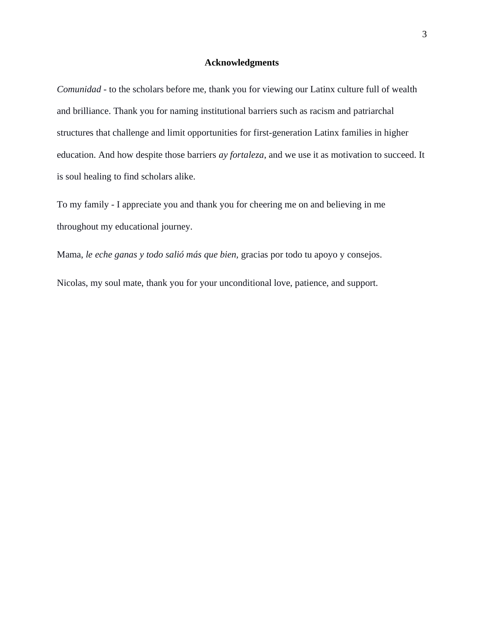#### **Acknowledgments**

<span id="page-3-0"></span>*Comunidad* - to the scholars before me, thank you for viewing our Latinx culture full of wealth and brilliance. Thank you for naming institutional barriers such as racism and patriarchal structures that challenge and limit opportunities for first-generation Latinx families in higher education. And how despite those barriers *ay fortaleza*, and we use it as motivation to succeed. It is soul healing to find scholars alike.

To my family - I appreciate you and thank you for cheering me on and believing in me throughout my educational journey.

Mama, *le eche ganas y todo salió más que bien,* gracias por todo tu apoyo y consejos.

Nicolas, my soul mate, thank you for your unconditional love, patience, and support.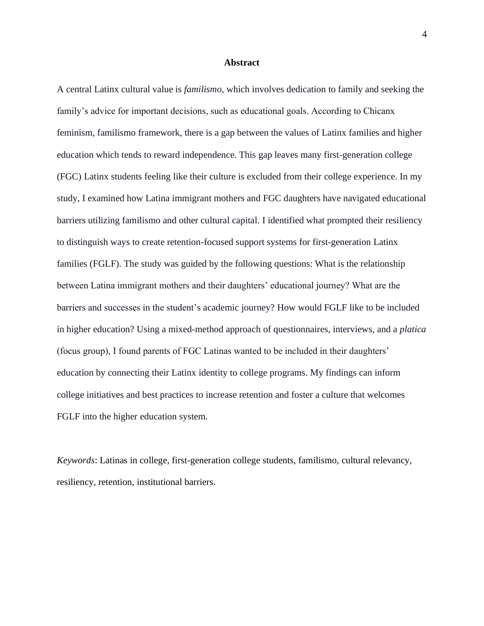#### **Abstract**

<span id="page-4-0"></span>A central Latinx cultural value is *familismo*, which involves dedication to family and seeking the family's advice for important decisions, such as educational goals. According to Chicanx feminism, familismo framework, there is a gap between the values of Latinx families and higher education which tends to reward independence. This gap leaves many first-generation college (FGC) Latinx students feeling like their culture is excluded from their college experience. In my study, I examined how Latina immigrant mothers and FGC daughters have navigated educational barriers utilizing familismo and other cultural capital. I identified what prompted their resiliency to distinguish ways to create retention-focused support systems for first-generation Latinx families (FGLF). The study was guided by the following questions: What is the relationship between Latina immigrant mothers and their daughters' educational journey? What are the barriers and successes in the student's academic journey? How would FGLF like to be included in higher education? Using a mixed-method approach of questionnaires, interviews, and a *platica* (focus group), I found parents of FGC Latinas wanted to be included in their daughters' education by connecting their Latinx identity to college programs. My findings can inform college initiatives and best practices to increase retention and foster a culture that welcomes FGLF into the higher education system.

*Keywords*: Latinas in college, first-generation college students, familismo, cultural relevancy, resiliency, retention, institutional barriers.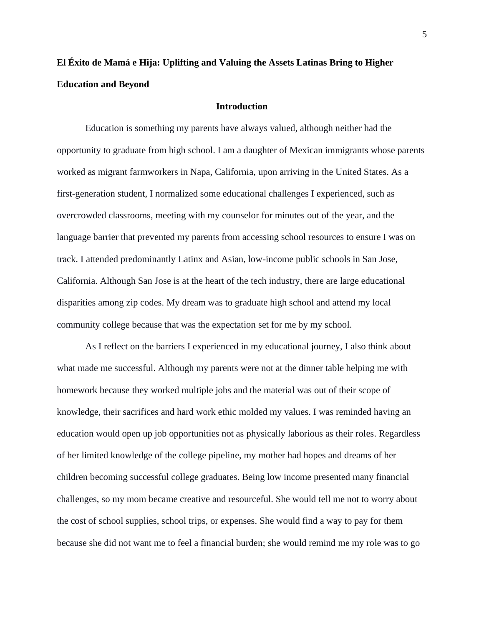# <span id="page-5-0"></span>**El Éxito de Mamá e Hija: Uplifting and Valuing the Assets Latinas Bring to Higher Education and Beyond**

## **Introduction**

Education is something my parents have always valued, although neither had the opportunity to graduate from high school. I am a daughter of Mexican immigrants whose parents worked as migrant farmworkers in Napa, California, upon arriving in the United States. As a first-generation student, I normalized some educational challenges I experienced, such as overcrowded classrooms, meeting with my counselor for minutes out of the year, and the language barrier that prevented my parents from accessing school resources to ensure I was on track. I attended predominantly Latinx and Asian, low-income public schools in San Jose, California. Although San Jose is at the heart of the tech industry, there are large educational disparities among zip codes. My dream was to graduate high school and attend my local community college because that was the expectation set for me by my school.

As I reflect on the barriers I experienced in my educational journey, I also think about what made me successful. Although my parents were not at the dinner table helping me with homework because they worked multiple jobs and the material was out of their scope of knowledge, their sacrifices and hard work ethic molded my values. I was reminded having an education would open up job opportunities not as physically laborious as their roles. Regardless of her limited knowledge of the college pipeline, my mother had hopes and dreams of her children becoming successful college graduates. Being low income presented many financial challenges, so my mom became creative and resourceful. She would tell me not to worry about the cost of school supplies, school trips, or expenses. She would find a way to pay for them because she did not want me to feel a financial burden; she would remind me my role was to go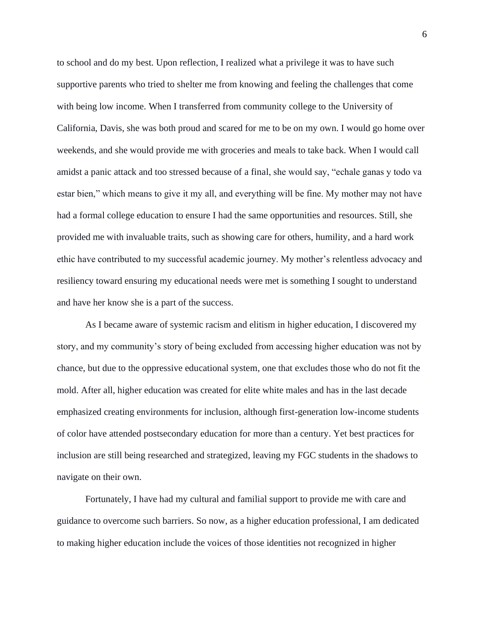to school and do my best. Upon reflection, I realized what a privilege it was to have such supportive parents who tried to shelter me from knowing and feeling the challenges that come with being low income. When I transferred from community college to the University of California, Davis, she was both proud and scared for me to be on my own. I would go home over weekends, and she would provide me with groceries and meals to take back. When I would call amidst a panic attack and too stressed because of a final, she would say, "echale ganas y todo va estar bien," which means to give it my all, and everything will be fine. My mother may not have had a formal college education to ensure I had the same opportunities and resources. Still, she provided me with invaluable traits, such as showing care for others, humility, and a hard work ethic have contributed to my successful academic journey. My mother's relentless advocacy and resiliency toward ensuring my educational needs were met is something I sought to understand and have her know she is a part of the success.

As I became aware of systemic racism and elitism in higher education, I discovered my story, and my community's story of being excluded from accessing higher education was not by chance, but due to the oppressive educational system, one that excludes those who do not fit the mold. After all, higher education was created for elite white males and has in the last decade emphasized creating environments for inclusion, although first-generation low-income students of color have attended postsecondary education for more than a century. Yet best practices for inclusion are still being researched and strategized, leaving my FGC students in the shadows to navigate on their own.

Fortunately, I have had my cultural and familial support to provide me with care and guidance to overcome such barriers. So now, as a higher education professional, I am dedicated to making higher education include the voices of those identities not recognized in higher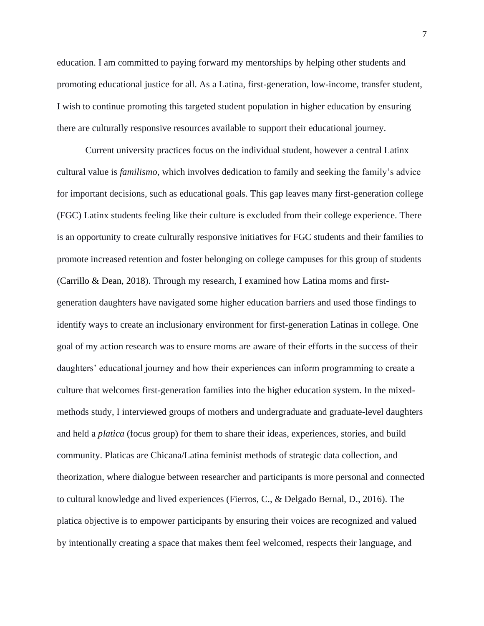education. I am committed to paying forward my mentorships by helping other students and promoting educational justice for all. As a Latina, first-generation, low-income, transfer student, I wish to continue promoting this targeted student population in higher education by ensuring there are culturally responsive resources available to support their educational journey.

Current university practices focus on the individual student, however a central Latinx cultural value is *familismo*, which involves dedication to family and seeking the family's advice for important decisions, such as educational goals. This gap leaves many first-generation college (FGC) Latinx students feeling like their culture is excluded from their college experience. There is an opportunity to create culturally responsive initiatives for FGC students and their families to promote increased retention and foster belonging on college campuses for this group of students (Carrillo & Dean, 2018). Through my research, I examined how Latina moms and firstgeneration daughters have navigated some higher education barriers and used those findings to identify ways to create an inclusionary environment for first-generation Latinas in college. One goal of my action research was to ensure moms are aware of their efforts in the success of their daughters' educational journey and how their experiences can inform programming to create a culture that welcomes first-generation families into the higher education system. In the mixedmethods study, I interviewed groups of mothers and undergraduate and graduate-level daughters and held a *platica* (focus group) for them to share their ideas, experiences, stories, and build community. Platicas are Chicana/Latina feminist methods of strategic data collection, and theorization, where dialogue between researcher and participants is more personal and connected to cultural knowledge and lived experiences (Fierros, C., & Delgado Bernal, D., 2016). The platica objective is to empower participants by ensuring their voices are recognized and valued by intentionally creating a space that makes them feel welcomed, respects their language, and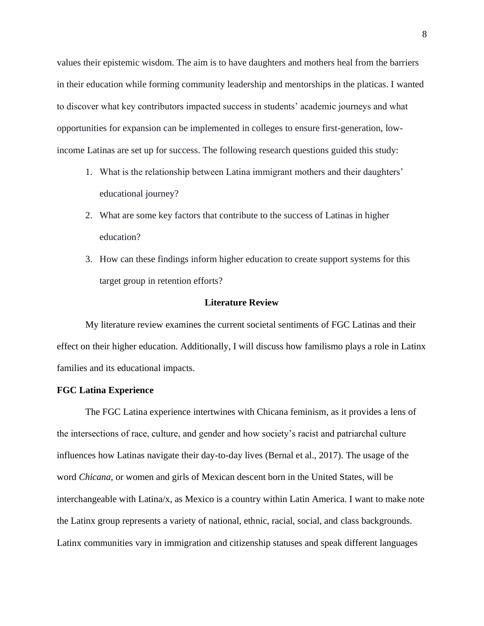values their epistemic wisdom. The aim is to have daughters and mothers heal from the barriers in their education while forming community leadership and mentorships in the platicas. I wanted to discover what key contributors impacted success in students' academic journeys and what opportunities for expansion can be implemented in colleges to ensure first-generation, lowincome Latinas are set up for success. The following research questions guided this study:

- 1. What is the relationship between Latina immigrant mothers and their daughters' educational journey?
- 2. What are some key factors that contribute to the success of Latinas in higher education?
- 3. How can these findings inform higher education to create support systems for this target group in retention efforts?

#### **Literature Review**

<span id="page-8-0"></span>My literature review examines the current societal sentiments of FGC Latinas and their effect on their higher education. Additionally, I will discuss how familismo plays a role in Latinx families and its educational impacts.

#### <span id="page-8-1"></span>**FGC Latina Experience**

The FGC Latina experience intertwines with Chicana feminism, as it provides a lens of the intersections of race, culture, and gender and how society's racist and patriarchal culture influences how Latinas navigate their day-to-day lives (Bernal et al., 2017). The usage of the word *Chicana*, or women and girls of Mexican descent born in the United States, will be interchangeable with Latina/x, as Mexico is a country within Latin America. I want to make note the Latinx group represents a variety of national, ethnic, racial, social, and class backgrounds. Latinx communities vary in immigration and citizenship statuses and speak different languages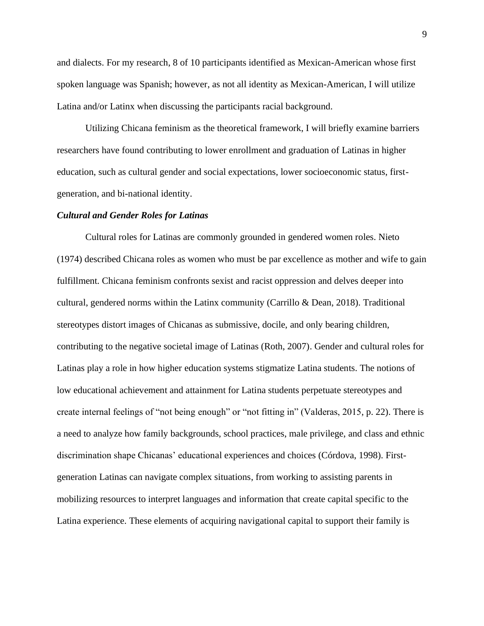and dialects. For my research, 8 of 10 participants identified as Mexican-American whose first spoken language was Spanish; however, as not all identity as Mexican-American, I will utilize Latina and/or Latinx when discussing the participants racial background.

Utilizing Chicana feminism as the theoretical framework, I will briefly examine barriers researchers have found contributing to lower enrollment and graduation of Latinas in higher education, such as cultural gender and social expectations, lower socioeconomic status, firstgeneration, and bi-national identity.

#### *Cultural and Gender Roles for Latinas*

Cultural roles for Latinas are commonly grounded in gendered women roles. Nieto (1974) described Chicana roles as women who must be par excellence as mother and wife to gain fulfillment. Chicana feminism confronts sexist and racist oppression and delves deeper into cultural, gendered norms within the Latinx community (Carrillo & Dean, 2018). Traditional stereotypes distort images of Chicanas as submissive, docile, and only bearing children, contributing to the negative societal image of Latinas (Roth, 2007). Gender and cultural roles for Latinas play a role in how higher education systems stigmatize Latina students. The notions of low educational achievement and attainment for Latina students perpetuate stereotypes and create internal feelings of "not being enough" or "not fitting in" (Valderas, 2015, p. 22). There is a need to analyze how family backgrounds, school practices, male privilege, and class and ethnic discrimination shape Chicanas' educational experiences and choices (Córdova, 1998). Firstgeneration Latinas can navigate complex situations, from working to assisting parents in mobilizing resources to interpret languages and information that create capital specific to the Latina experience. These elements of acquiring navigational capital to support their family is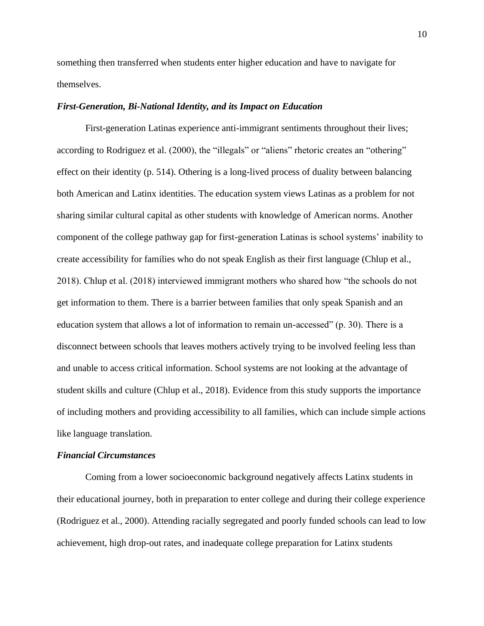something then transferred when students enter higher education and have to navigate for themselves.

#### *First-Generation, Bi-National Identity, and its Impact on Education*

First-generation Latinas experience anti-immigrant sentiments throughout their lives; according to Rodriguez et al. (2000), the "illegals" or "aliens" rhetoric creates an "othering" effect on their identity (p. 514). Othering is a long-lived process of duality between balancing both American and Latinx identities. The education system views Latinas as a problem for not sharing similar cultural capital as other students with knowledge of American norms. Another component of the college pathway gap for first-generation Latinas is school systems' inability to create accessibility for families who do not speak English as their first language (Chlup et al., 2018). Chlup et al. (2018) interviewed immigrant mothers who shared how "the schools do not get information to them. There is a barrier between families that only speak Spanish and an education system that allows a lot of information to remain un-accessed" (p. 30). There is a disconnect between schools that leaves mothers actively trying to be involved feeling less than and unable to access critical information. School systems are not looking at the advantage of student skills and culture (Chlup et al., 2018). Evidence from this study supports the importance of including mothers and providing accessibility to all families, which can include simple actions like language translation.

## *Financial Circumstances*

Coming from a lower socioeconomic background negatively affects Latinx students in their educational journey, both in preparation to enter college and during their college experience (Rodriguez et al., 2000). Attending racially segregated and poorly funded schools can lead to low achievement, high drop-out rates, and inadequate college preparation for Latinx students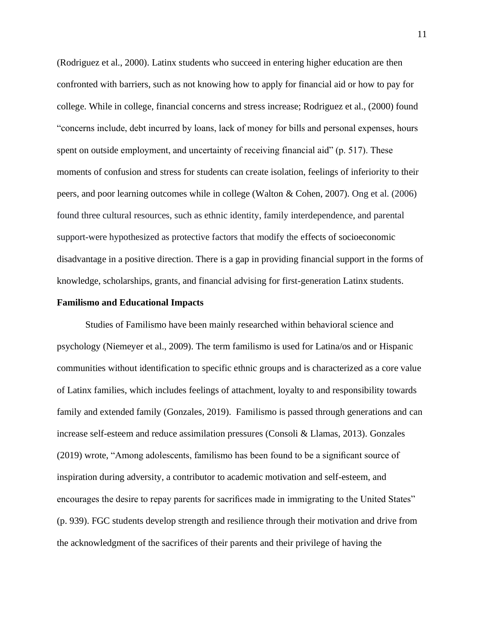(Rodriguez et al., 2000). Latinx students who succeed in entering higher education are then confronted with barriers, such as not knowing how to apply for financial aid or how to pay for college. While in college, financial concerns and stress increase; Rodriguez et al., (2000) found "concerns include, debt incurred by loans, lack of money for bills and personal expenses, hours spent on outside employment, and uncertainty of receiving financial aid" (p. 517). These moments of confusion and stress for students can create isolation, feelings of inferiority to their peers, and poor learning outcomes while in college (Walton & Cohen, 2007). Ong et al. (2006) found three cultural resources, such as ethnic identity, family interdependence, and parental support-were hypothesized as protective factors that modify the effects of socioeconomic disadvantage in a positive direction. There is a gap in providing financial support in the forms of knowledge, scholarships, grants, and financial advising for first-generation Latinx students.

#### <span id="page-11-0"></span>**Familismo and Educational Impacts**

Studies of Familismo have been mainly researched within behavioral science and psychology (Niemeyer et al., 2009). The term familismo is used for Latina/os and or Hispanic communities without identification to specific ethnic groups and is characterized as a core value of Latinx families, which includes feelings of attachment, loyalty to and responsibility towards family and extended family (Gonzales, 2019). Familismo is passed through generations and can increase self-esteem and reduce assimilation pressures (Consoli & Llamas, 2013). Gonzales (2019) wrote, "Among adolescents, familismo has been found to be a significant source of inspiration during adversity, a contributor to academic motivation and self-esteem, and encourages the desire to repay parents for sacrifices made in immigrating to the United States" (p. 939). FGC students develop strength and resilience through their motivation and drive from the acknowledgment of the sacrifices of their parents and their privilege of having the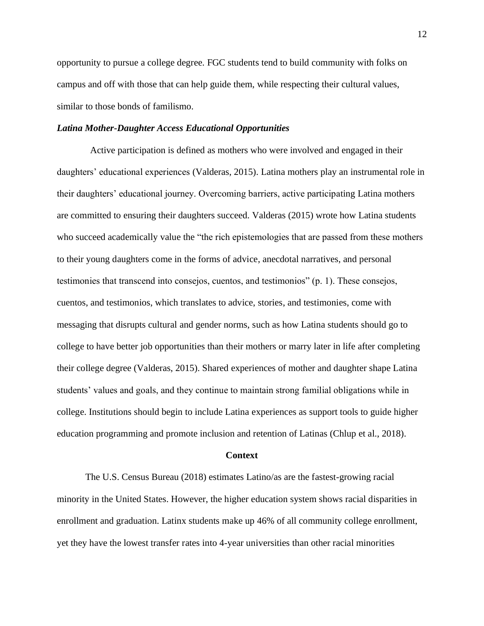opportunity to pursue a college degree. FGC students tend to build community with folks on campus and off with those that can help guide them, while respecting their cultural values, similar to those bonds of familismo.

#### *Latina Mother-Daughter Access Educational Opportunities*

 Active participation is defined as mothers who were involved and engaged in their daughters' educational experiences (Valderas, 2015). Latina mothers play an instrumental role in their daughters' educational journey. Overcoming barriers, active participating Latina mothers are committed to ensuring their daughters succeed. Valderas (2015) wrote how Latina students who succeed academically value the "the rich epistemologies that are passed from these mothers to their young daughters come in the forms of advice, anecdotal narratives, and personal testimonies that transcend into consejos, cuentos, and testimonios" (p. 1). These consejos, cuentos, and testimonios, which translates to advice, stories, and testimonies, come with messaging that disrupts cultural and gender norms, such as how Latina students should go to college to have better job opportunities than their mothers or marry later in life after completing their college degree (Valderas, 2015). Shared experiences of mother and daughter shape Latina students' values and goals, and they continue to maintain strong familial obligations while in college. Institutions should begin to include Latina experiences as support tools to guide higher education programming and promote inclusion and retention of Latinas (Chlup et al., 2018).

#### **Context**

<span id="page-12-0"></span>The U.S. Census Bureau (2018) estimates Latino/as are the fastest-growing racial minority in the United States. However, the higher education system shows racial disparities in enrollment and graduation. Latinx students make up 46% of all community college enrollment, yet they have the lowest transfer rates into 4-year universities than other racial minorities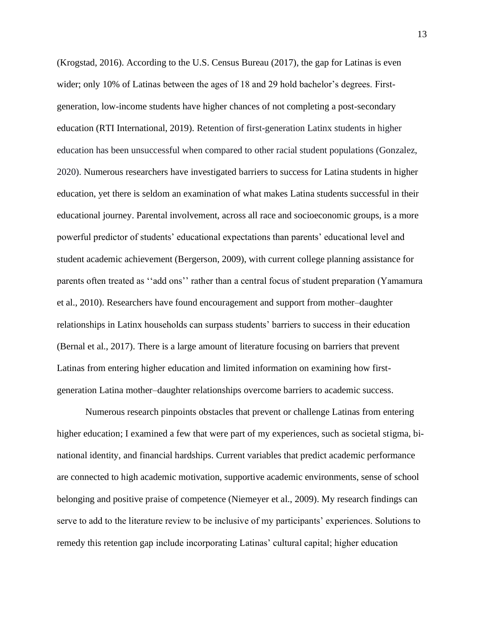(Krogstad, 2016). According to the U.S. Census Bureau (2017), the gap for Latinas is even wider; only 10% of Latinas between the ages of 18 and 29 hold bachelor's degrees. Firstgeneration, low-income students have higher chances of not completing a post-secondary education (RTI International, 2019). Retention of first-generation Latinx students in higher education has been unsuccessful when compared to other racial student populations (Gonzalez, 2020). Numerous researchers have investigated barriers to success for Latina students in higher education, yet there is seldom an examination of what makes Latina students successful in their educational journey. Parental involvement, across all race and socioeconomic groups, is a more powerful predictor of students' educational expectations than parents' educational level and student academic achievement (Bergerson, 2009), with current college planning assistance for parents often treated as ''add ons'' rather than a central focus of student preparation (Yamamura et al., 2010). Researchers have found encouragement and support from mother–daughter relationships in Latinx households can surpass students' barriers to success in their education (Bernal et al., 2017). There is a large amount of literature focusing on barriers that prevent Latinas from entering higher education and limited information on examining how firstgeneration Latina mother–daughter relationships overcome barriers to academic success.

Numerous research pinpoints obstacles that prevent or challenge Latinas from entering higher education; I examined a few that were part of my experiences, such as societal stigma, binational identity, and financial hardships. Current variables that predict academic performance are connected to high academic motivation, supportive academic environments, sense of school belonging and positive praise of competence (Niemeyer et al., 2009). My research findings can serve to add to the literature review to be inclusive of my participants' experiences. Solutions to remedy this retention gap include incorporating Latinas' cultural capital; higher education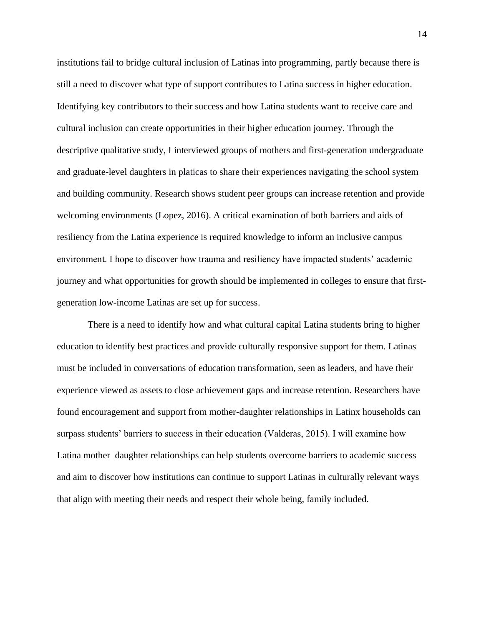institutions fail to bridge cultural inclusion of Latinas into programming, partly because there is still a need to discover what type of support contributes to Latina success in higher education. Identifying key contributors to their success and how Latina students want to receive care and cultural inclusion can create opportunities in their higher education journey. Through the descriptive qualitative study, I interviewed groups of mothers and first-generation undergraduate and graduate-level daughters in platicas to share their experiences navigating the school system and building community. Research shows student peer groups can increase retention and provide welcoming environments (Lopez, 2016). A critical examination of both barriers and aids of resiliency from the Latina experience is required knowledge to inform an inclusive campus environment. I hope to discover how trauma and resiliency have impacted students' academic journey and what opportunities for growth should be implemented in colleges to ensure that firstgeneration low-income Latinas are set up for success.

There is a need to identify how and what cultural capital Latina students bring to higher education to identify best practices and provide culturally responsive support for them. Latinas must be included in conversations of education transformation, seen as leaders, and have their experience viewed as assets to close achievement gaps and increase retention. Researchers have found encouragement and support from mother-daughter relationships in Latinx households can surpass students' barriers to success in their education (Valderas, 2015). I will examine how Latina mother–daughter relationships can help students overcome barriers to academic success and aim to discover how institutions can continue to support Latinas in culturally relevant ways that align with meeting their needs and respect their whole being, family included.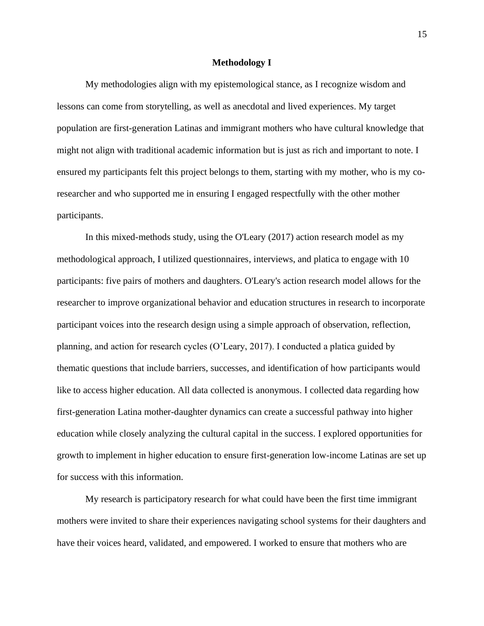#### **Methodology I**

<span id="page-15-0"></span>My methodologies align with my epistemological stance, as I recognize wisdom and lessons can come from storytelling, as well as anecdotal and lived experiences. My target population are first-generation Latinas and immigrant mothers who have cultural knowledge that might not align with traditional academic information but is just as rich and important to note. I ensured my participants felt this project belongs to them, starting with my mother, who is my coresearcher and who supported me in ensuring I engaged respectfully with the other mother participants.

In this mixed-methods study, using the O'Leary (2017) action research model as my methodological approach, I utilized questionnaires, interviews, and platica to engage with 10 participants: five pairs of mothers and daughters. O'Leary's action research model allows for the researcher to improve organizational behavior and education structures in research to incorporate participant voices into the research design using a simple approach of observation, reflection, planning, and action for research cycles (O'Leary, 2017). I conducted a platica guided by thematic questions that include barriers, successes, and identification of how participants would like to access higher education. All data collected is anonymous. I collected data regarding how first-generation Latina mother-daughter dynamics can create a successful pathway into higher education while closely analyzing the cultural capital in the success. I explored opportunities for growth to implement in higher education to ensure first-generation low-income Latinas are set up for success with this information.

My research is participatory research for what could have been the first time immigrant mothers were invited to share their experiences navigating school systems for their daughters and have their voices heard, validated, and empowered. I worked to ensure that mothers who are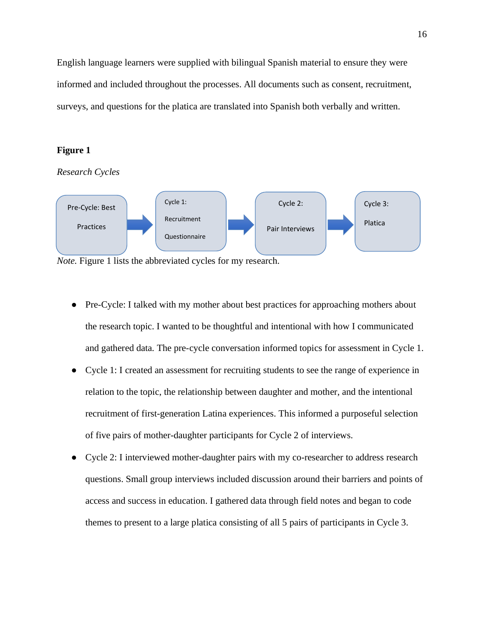English language learners were supplied with bilingual Spanish material to ensure they were informed and included throughout the processes. All documents such as consent, recruitment, surveys, and questions for the platica are translated into Spanish both verbally and written.

### **Figure 1**

*Research Cycles* 



*Note.* Figure 1 lists the abbreviated cycles for my research.

- Pre-Cycle: I talked with my mother about best practices for approaching mothers about the research topic. I wanted to be thoughtful and intentional with how I communicated and gathered data. The pre-cycle conversation informed topics for assessment in Cycle 1.
- Cycle 1: I created an assessment for recruiting students to see the range of experience in relation to the topic, the relationship between daughter and mother, and the intentional recruitment of first-generation Latina experiences. This informed a purposeful selection of five pairs of mother-daughter participants for Cycle 2 of interviews.
- Cycle 2: I interviewed mother-daughter pairs with my co-researcher to address research questions. Small group interviews included discussion around their barriers and points of access and success in education. I gathered data through field notes and began to code themes to present to a large platica consisting of all 5 pairs of participants in Cycle 3.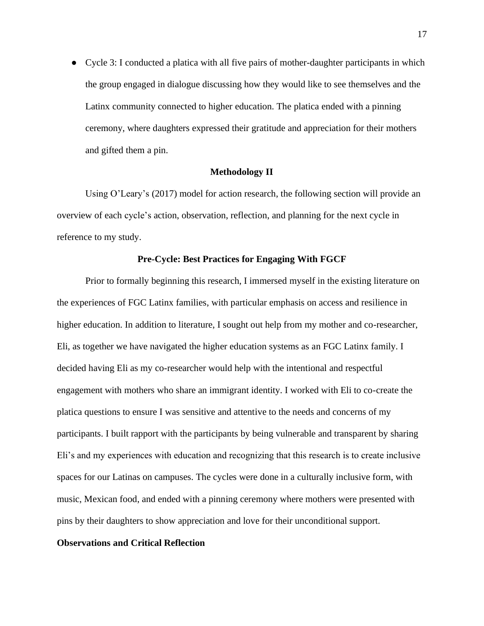• Cycle 3: I conducted a platica with all five pairs of mother-daughter participants in which the group engaged in dialogue discussing how they would like to see themselves and the Latinx community connected to higher education. The platica ended with a pinning ceremony, where daughters expressed their gratitude and appreciation for their mothers and gifted them a pin.

### **Methodology II**

<span id="page-17-0"></span>Using O'Leary's (2017) model for action research, the following section will provide an overview of each cycle's action, observation, reflection, and planning for the next cycle in reference to my study.

#### **Pre-Cycle: Best Practices for Engaging With FGCF**

<span id="page-17-1"></span>Prior to formally beginning this research, I immersed myself in the existing literature on the experiences of FGC Latinx families, with particular emphasis on access and resilience in higher education. In addition to literature, I sought out help from my mother and co-researcher, Eli, as together we have navigated the higher education systems as an FGC Latinx family. I decided having Eli as my co-researcher would help with the intentional and respectful engagement with mothers who share an immigrant identity. I worked with Eli to co-create the platica questions to ensure I was sensitive and attentive to the needs and concerns of my participants. I built rapport with the participants by being vulnerable and transparent by sharing Eli's and my experiences with education and recognizing that this research is to create inclusive spaces for our Latinas on campuses. The cycles were done in a culturally inclusive form, with music, Mexican food, and ended with a pinning ceremony where mothers were presented with pins by their daughters to show appreciation and love for their unconditional support.

#### **Observations and Critical Reflection**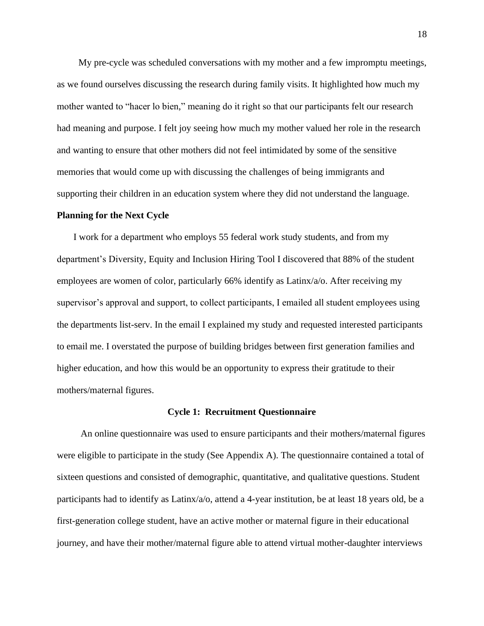My pre-cycle was scheduled conversations with my mother and a few impromptu meetings, as we found ourselves discussing the research during family visits. It highlighted how much my mother wanted to "hacer lo bien," meaning do it right so that our participants felt our research had meaning and purpose. I felt joy seeing how much my mother valued her role in the research and wanting to ensure that other mothers did not feel intimidated by some of the sensitive memories that would come up with discussing the challenges of being immigrants and supporting their children in an education system where they did not understand the language.

#### **Planning for the Next Cycle**

 I work for a department who employs 55 federal work study students, and from my department's Diversity, Equity and Inclusion Hiring Tool I discovered that 88% of the student employees are women of color, particularly 66% identify as Latinx/a/o. After receiving my supervisor's approval and support, to collect participants, I emailed all student employees using the departments list-serv. In the email I explained my study and requested interested participants to email me. I overstated the purpose of building bridges between first generation families and higher education, and how this would be an opportunity to express their gratitude to their mothers/maternal figures.

#### **Cycle 1[:](https://docs.google.com/document/d/1zER8wWb33expZE8lewp7r7SBRV27pFMtmY2C9AoTCNw/edit#heading=h.y2qmnw5q02tg) Recruitment Questionnaire**

<span id="page-18-0"></span> An online questionnaire was used to ensure participants and their mothers/maternal figures were eligible to participate in the study (See Appendix A). The questionnaire contained a total of sixteen questions and consisted of demographic, quantitative, and qualitative questions. Student participants had to identify as Latinx/a/o, attend a 4-year institution, be at least 18 years old, be a first-generation college student, have an active mother or maternal figure in their educational journey, and have their mother/maternal figure able to attend virtual mother-daughter interviews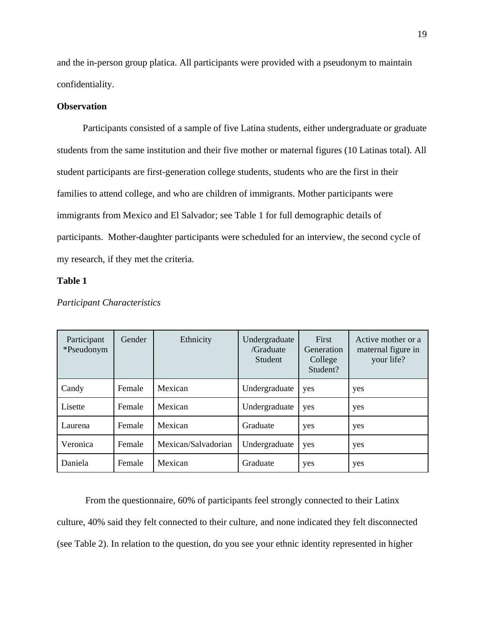and the in-person group platica. All participants were provided with a pseudonym to maintain confidentiality.

#### **Observation**

Participants consisted of a sample of five Latina students, either undergraduate or graduate students from the same institution and their five mother or maternal figures (10 Latinas total). All student participants are first-generation college students, students who are the first in their families to attend college, and who are children of immigrants. Mother participants were immigrants from Mexico and El Salvador; see Table 1 for full demographic details of participants. Mother-daughter participants were scheduled for an interview, the second cycle of my research, if they met the criteria.

## **Table 1**

| Participant<br>*Pseudonym | Gender | Ethnicity           | Undergraduate<br>/Graduate<br><b>Student</b> | First<br>Generation<br>College<br>Student? | Active mother or a<br>maternal figure in<br>your life? |
|---------------------------|--------|---------------------|----------------------------------------------|--------------------------------------------|--------------------------------------------------------|
| Candy                     | Female | Mexican             | Undergraduate                                | yes                                        | yes                                                    |
| Lisette                   | Female | Mexican             | Undergraduate                                | yes                                        | yes                                                    |
| Laurena                   | Female | Mexican             | Graduate                                     | yes                                        | yes                                                    |
| Veronica                  | Female | Mexican/Salvadorian | Undergraduate                                | yes                                        | yes                                                    |
| Daniela                   | Female | Mexican             | Graduate                                     | yes                                        | yes                                                    |

### *Participant Characteristics*

From the questionnaire, 60% of participants feel strongly connected to their Latinx culture, 40% said they felt connected to their culture, and none indicated they felt disconnected (see Table 2). In relation to the question, do you see your ethnic identity represented in higher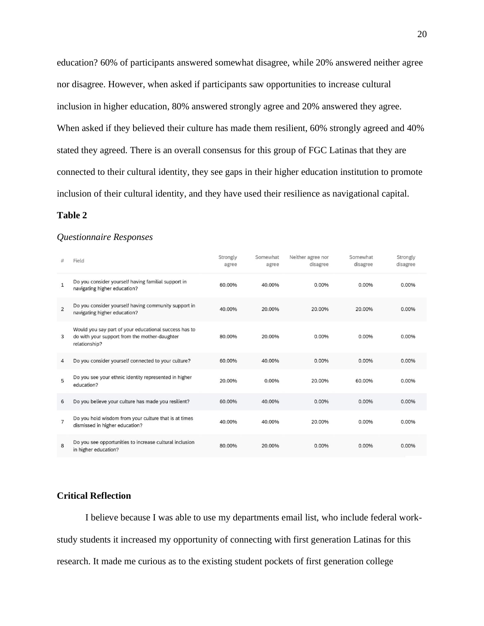education? 60% of participants answered somewhat disagree, while 20% answered neither agree nor disagree. However, when asked if participants saw opportunities to increase cultural inclusion in higher education, 80% answered strongly agree and 20% answered they agree. When asked if they believed their culture has made them resilient, 60% strongly agreed and 40% stated they agreed. There is an overall consensus for this group of FGC Latinas that they are connected to their cultural identity, they see gaps in their higher education institution to promote inclusion of their cultural identity, and they have used their resilience as navigational capital.

#### **Table 2**

#### *Questionnaire Responses*

|                | Field                                                                                                                   | Strongly<br>agree | Somewhat<br>agree | Neither agree nor<br>disagree | Somewhat<br>disagree | Strongly<br>disagree |
|----------------|-------------------------------------------------------------------------------------------------------------------------|-------------------|-------------------|-------------------------------|----------------------|----------------------|
| $\mathbf{1}$   | Do you consider yourself having familial support in<br>navigating higher education?                                     | 60.00%            | 40.00%            | 0.00%                         | 0.00%                | 0.00%                |
| $\overline{2}$ | Do you consider yourself having community support in<br>navigating higher education?                                    | 40.00%            | 20.00%            | 20.00%                        | 20.00%               | 0.00%                |
| 3              | Would you say part of your educational success has to<br>do with your support from the mother-daughter<br>relationship? | 80.00%            | 20.00%            | 0.00%                         | 0.00%                | 0.00%                |
| 4              | Do you consider yourself connected to your culture?                                                                     | 60.00%            | 40.00%            | 0.00%                         | 0.00%                | 0.00%                |
| 5              | Do you see your ethnic identity represented in higher<br>education?                                                     | 20.00%            | 0.00%             | 20.00%                        | 60.00%               | 0.00%                |
| 6              | Do you believe your culture has made you resilient?                                                                     | 60.00%            | 40.00%            | 0.00%                         | 0.00%                | 0.00%                |
| $\overline{7}$ | Do you hold wisdom from your culture that is at times<br>dismissed in higher education?                                 | 40.00%            | 40.00%            | 20.00%                        | 0.00%                | 0.00%                |
| $\mathbf{B}$   | Do you see opportunities to increase cultural inclusion<br>in higher education?                                         | 80.00%            | 20.00%            | 0.00%                         | 0.00%                | 0.00%                |

## **Critical Reflection**

I believe because I was able to use my departments email list, who include federal workstudy students it increased my opportunity of connecting with first generation Latinas for this research. It made me curious as to the existing student pockets of first generation college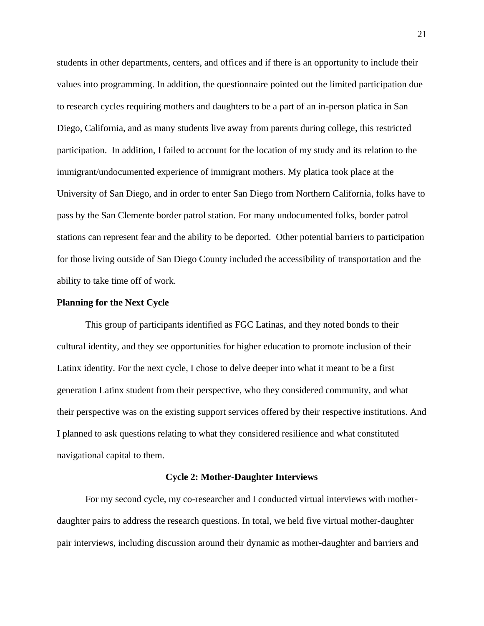students in other departments, centers, and offices and if there is an opportunity to include their values into programming. In addition, the questionnaire pointed out the limited participation due to research cycles requiring mothers and daughters to be a part of an in-person platica in San Diego, California, and as many students live away from parents during college, this restricted participation. In addition, I failed to account for the location of my study and its relation to the immigrant/undocumented experience of immigrant mothers. My platica took place at the University of San Diego, and in order to enter San Diego from Northern California, folks have to pass by the San Clemente border patrol station. For many undocumented folks, border patrol stations can represent fear and the ability to be deported. Other potential barriers to participation for those living outside of San Diego County included the accessibility of transportation and the ability to take time off of work.

## **Planning for the Next Cycle**

This group of participants identified as FGC Latinas, and they noted bonds to their cultural identity, and they see opportunities for higher education to promote inclusion of their Latinx identity. For the next cycle, I chose to delve deeper into what it meant to be a first generation Latinx student from their perspective, who they considered community, and what their perspective was on the existing support services offered by their respective institutions. And I planned to ask questions relating to what they considered resilience and what constituted navigational capital to them.

#### **Cycle 2: Mother-Daughter Interviews**

<span id="page-21-0"></span>For my second cycle, my co-researcher and I conducted virtual interviews with motherdaughter pairs to address the research questions. In total, we held five virtual mother-daughter pair interviews, including discussion around their dynamic as mother-daughter and barriers and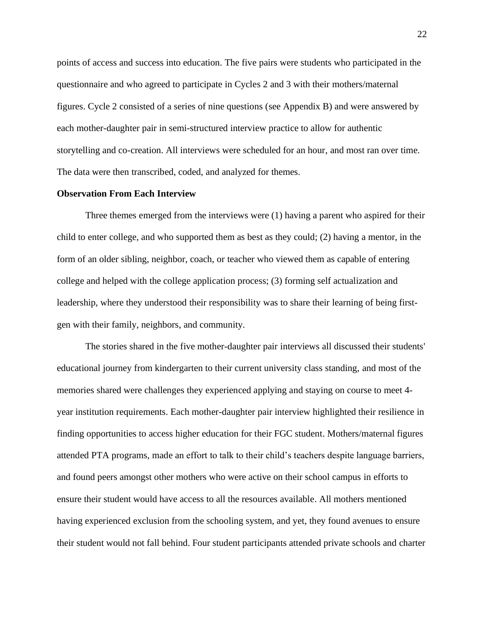points of access and success into education. The five pairs were students who participated in the questionnaire and who agreed to participate in Cycles 2 and 3 with their mothers/maternal figures. Cycle 2 consisted of a series of nine questions (see Appendix B) and were answered by each mother-daughter pair in semi-structured interview practice to allow for authentic storytelling and co-creation. All interviews were scheduled for an hour, and most ran over time. The data were then transcribed, coded, and analyzed for themes.

#### **Observation From Each Interview**

Three themes emerged from the interviews were (1) having a parent who aspired for their child to enter college, and who supported them as best as they could; (2) having a mentor, in the form of an older sibling, neighbor, coach, or teacher who viewed them as capable of entering college and helped with the college application process; (3) forming self actualization and leadership, where they understood their responsibility was to share their learning of being firstgen with their family, neighbors, and community.

The stories shared in the five mother-daughter pair interviews all discussed their students' educational journey from kindergarten to their current university class standing, and most of the memories shared were challenges they experienced applying and staying on course to meet 4 year institution requirements. Each mother-daughter pair interview highlighted their resilience in finding opportunities to access higher education for their FGC student. Mothers/maternal figures attended PTA programs, made an effort to talk to their child's teachers despite language barriers, and found peers amongst other mothers who were active on their school campus in efforts to ensure their student would have access to all the resources available. All mothers mentioned having experienced exclusion from the schooling system, and yet, they found avenues to ensure their student would not fall behind. Four student participants attended private schools and charter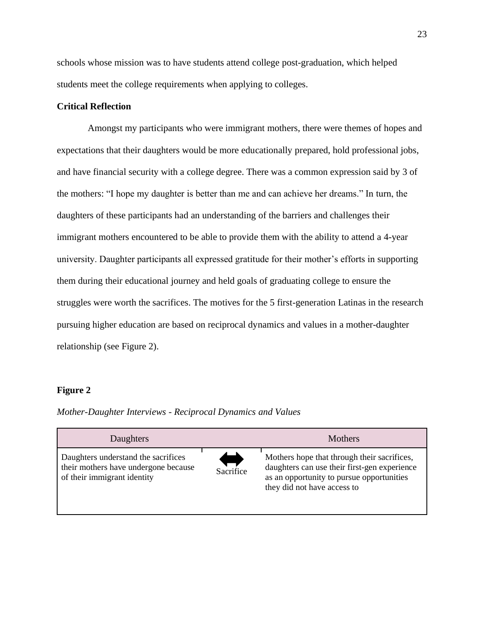schools whose mission was to have students attend college post-graduation, which helped students meet the college requirements when applying to colleges.

## **Critical Reflection**

Amongst my participants who were immigrant mothers, there were themes of hopes and expectations that their daughters would be more educationally prepared, hold professional jobs, and have financial security with a college degree. There was a common expression said by 3 of the mothers: "I hope my daughter is better than me and can achieve her dreams." In turn, the daughters of these participants had an understanding of the barriers and challenges their immigrant mothers encountered to be able to provide them with the ability to attend a 4-year university. Daughter participants all expressed gratitude for their mother's efforts in supporting them during their educational journey and held goals of graduating college to ensure the struggles were worth the sacrifices. The motives for the 5 first-generation Latinas in the research pursuing higher education are based on reciprocal dynamics and values in a mother-daughter relationship (see Figure 2).

#### **Figure 2**

*Mother-Daughter Interviews - Reciprocal Dynamics and Values* 

| Daughters                                                                                                  |           | Mothers                                                                                                                                                                 |
|------------------------------------------------------------------------------------------------------------|-----------|-------------------------------------------------------------------------------------------------------------------------------------------------------------------------|
| Daughters understand the sacrifices<br>their mothers have undergone because<br>of their immigrant identity | Sacrifice | Mothers hope that through their sacrifices,<br>daughters can use their first-gen experience<br>as an opportunity to pursue opportunities<br>they did not have access to |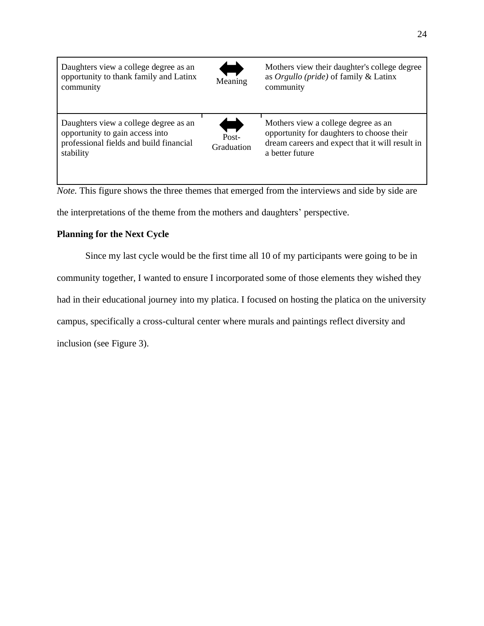| Daughters view a college degree as an<br>opportunity to thank family and Latinx<br>community                                     | Meaning             | Mothers view their daughter's college degree<br>as $Orgullo$ (pride) of family & Latinx<br>community                                                   |
|----------------------------------------------------------------------------------------------------------------------------------|---------------------|--------------------------------------------------------------------------------------------------------------------------------------------------------|
| Daughters view a college degree as an<br>opportunity to gain access into<br>professional fields and build financial<br>stability | Post-<br>Graduation | Mothers view a college degree as an<br>opportunity for daughters to choose their<br>dream careers and expect that it will result in<br>a better future |

*Note.* This figure shows the three themes that emerged from the interviews and side by side are the interpretations of the theme from the mothers and daughters' perspective.

## **Planning for the Next Cycle**

Since my last cycle would be the first time all 10 of my participants were going to be in community together, I wanted to ensure I incorporated some of those elements they wished they had in their educational journey into my platica. I focused on hosting the platica on the university campus, specifically a cross-cultural center where murals and paintings reflect diversity and inclusion (see Figure 3).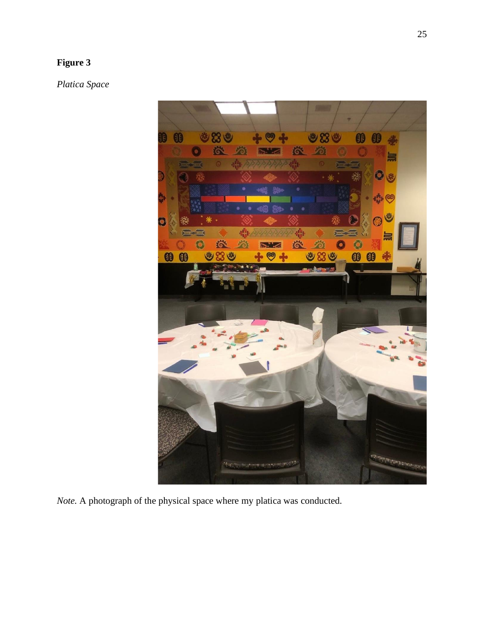# **Figure 3**

*Platica Space*



*Note.* A photograph of the physical space where my platica was conducted.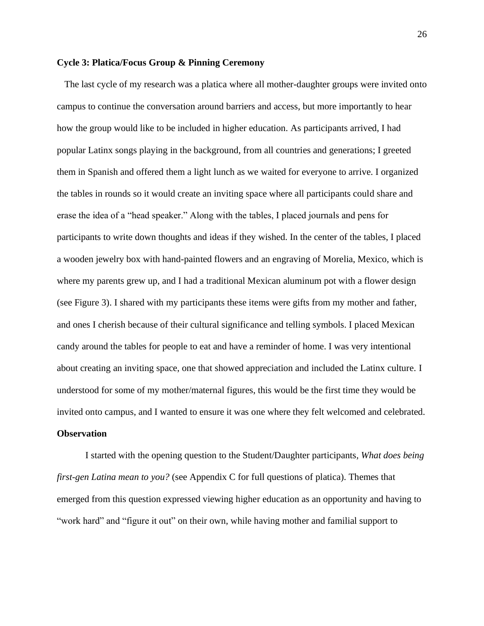#### <span id="page-26-0"></span>**Cycle 3: Platica/Focus Group & Pinning Ceremony**

The last cycle of my research was a platica where all mother-daughter groups were invited onto campus to continue the conversation around barriers and access, but more importantly to hear how the group would like to be included in higher education. As participants arrived, I had popular Latinx songs playing in the background, from all countries and generations; I greeted them in Spanish and offered them a light lunch as we waited for everyone to arrive. I organized the tables in rounds so it would create an inviting space where all participants could share and erase the idea of a "head speaker." Along with the tables, I placed journals and pens for participants to write down thoughts and ideas if they wished. In the center of the tables, I placed a wooden jewelry box with hand-painted flowers and an engraving of Morelia, Mexico, which is where my parents grew up, and I had a traditional Mexican aluminum pot with a flower design (see Figure 3). I shared with my participants these items were gifts from my mother and father, and ones I cherish because of their cultural significance and telling symbols. I placed Mexican candy around the tables for people to eat and have a reminder of home. I was very intentional about creating an inviting space, one that showed appreciation and included the Latinx culture. I understood for some of my mother/maternal figures, this would be the first time they would be invited onto campus, and I wanted to ensure it was one where they felt welcomed and celebrated.

## **Observation**

I started with the opening question to the Student/Daughter participants*, What does being first-gen Latina mean to you?* (see Appendix C for full questions of platica). Themes that emerged from this question expressed viewing higher education as an opportunity and having to "work hard" and "figure it out" on their own, while having mother and familial support to

26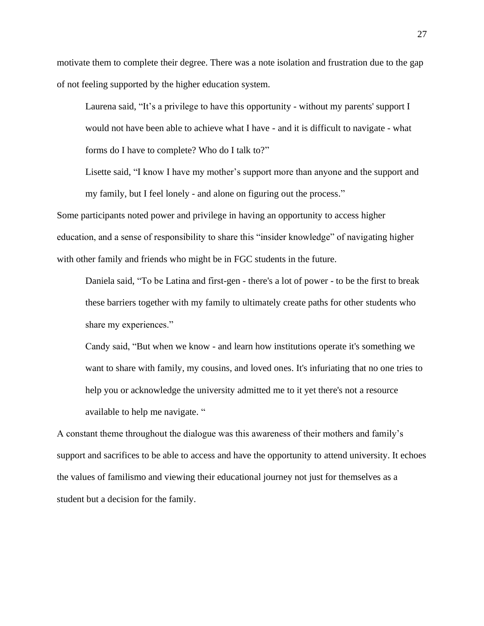motivate them to complete their degree. There was a note isolation and frustration due to the gap of not feeling supported by the higher education system.

Laurena said, "It's a privilege to have this opportunity - without my parents' support I would not have been able to achieve what I have - and it is difficult to navigate - what forms do I have to complete? Who do I talk to?"

Lisette said, "I know I have my mother's support more than anyone and the support and my family, but I feel lonely - and alone on figuring out the process."

Some participants noted power and privilege in having an opportunity to access higher education, and a sense of responsibility to share this "insider knowledge" of navigating higher with other family and friends who might be in FGC students in the future.

Daniela said, "To be Latina and first-gen - there's a lot of power - to be the first to break these barriers together with my family to ultimately create paths for other students who share my experiences."

Candy said, "But when we know - and learn how institutions operate it's something we want to share with family, my cousins, and loved ones. It's infuriating that no one tries to help you or acknowledge the university admitted me to it yet there's not a resource available to help me navigate. "

A constant theme throughout the dialogue was this awareness of their mothers and family's support and sacrifices to be able to access and have the opportunity to attend university. It echoes the values of familismo and viewing their educational journey not just for themselves as a student but a decision for the family.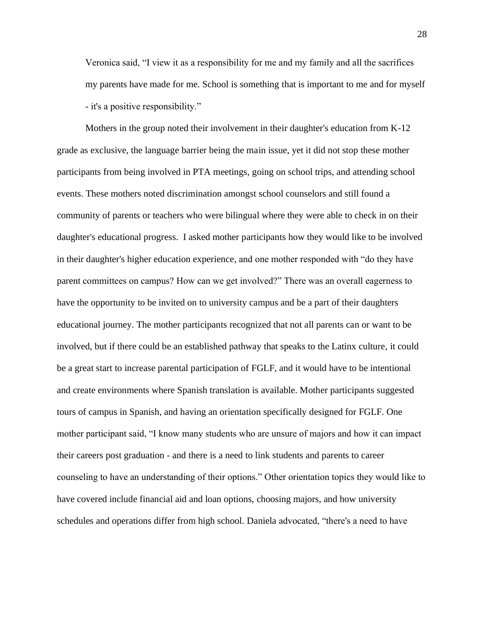Veronica said, "I view it as a responsibility for me and my family and all the sacrifices my parents have made for me. School is something that is important to me and for myself - it's a positive responsibility."

Mothers in the group noted their involvement in their daughter's education from K-12 grade as exclusive, the language barrier being the main issue, yet it did not stop these mother participants from being involved in PTA meetings, going on school trips, and attending school events. These mothers noted discrimination amongst school counselors and still found a community of parents or teachers who were bilingual where they were able to check in on their daughter's educational progress. I asked mother participants how they would like to be involved in their daughter's higher education experience, and one mother responded with "do they have parent committees on campus? How can we get involved?" There was an overall eagerness to have the opportunity to be invited on to university campus and be a part of their daughters educational journey. The mother participants recognized that not all parents can or want to be involved, but if there could be an established pathway that speaks to the Latinx culture, it could be a great start to increase parental participation of FGLF, and it would have to be intentional and create environments where Spanish translation is available. Mother participants suggested tours of campus in Spanish, and having an orientation specifically designed for FGLF. One mother participant said, "I know many students who are unsure of majors and how it can impact their careers post graduation - and there is a need to link students and parents to career counseling to have an understanding of their options." Other orientation topics they would like to have covered include financial aid and loan options, choosing majors, and how university schedules and operations differ from high school. Daniela advocated, "there's a need to have

28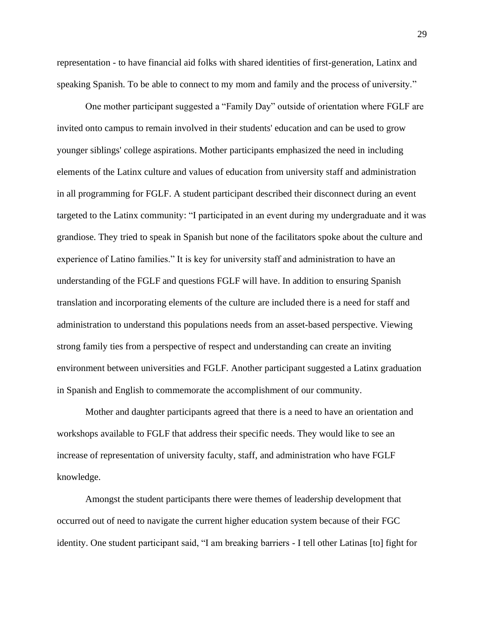representation - to have financial aid folks with shared identities of first-generation, Latinx and speaking Spanish. To be able to connect to my mom and family and the process of university."

One mother participant suggested a "Family Day" outside of orientation where FGLF are invited onto campus to remain involved in their students' education and can be used to grow younger siblings' college aspirations. Mother participants emphasized the need in including elements of the Latinx culture and values of education from university staff and administration in all programming for FGLF. A student participant described their disconnect during an event targeted to the Latinx community: "I participated in an event during my undergraduate and it was grandiose. They tried to speak in Spanish but none of the facilitators spoke about the culture and experience of Latino families." It is key for university staff and administration to have an understanding of the FGLF and questions FGLF will have. In addition to ensuring Spanish translation and incorporating elements of the culture are included there is a need for staff and administration to understand this populations needs from an asset-based perspective. Viewing strong family ties from a perspective of respect and understanding can create an inviting environment between universities and FGLF. Another participant suggested a Latinx graduation in Spanish and English to commemorate the accomplishment of our community.

Mother and daughter participants agreed that there is a need to have an orientation and workshops available to FGLF that address their specific needs. They would like to see an increase of representation of university faculty, staff, and administration who have FGLF knowledge.

Amongst the student participants there were themes of leadership development that occurred out of need to navigate the current higher education system because of their FGC identity. One student participant said, "I am breaking barriers - I tell other Latinas [to] fight for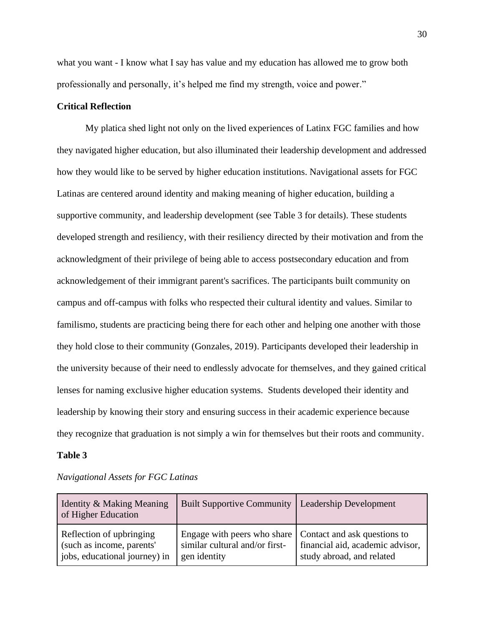what you want - I know what I say has value and my education has allowed me to grow both professionally and personally, it's helped me find my strength, voice and power."

## **Critical Reflection**

My platica shed light not only on the lived experiences of Latinx FGC families and how they navigated higher education, but also illuminated their leadership development and addressed how they would like to be served by higher education institutions. Navigational assets for FGC Latinas are centered around identity and making meaning of higher education, building a supportive community, and leadership development (see Table 3 for details). These students developed strength and resiliency, with their resiliency directed by their motivation and from the acknowledgment of their privilege of being able to access postsecondary education and from acknowledgement of their immigrant parent's sacrifices. The participants built community on campus and off-campus with folks who respected their cultural identity and values. Similar to familismo, students are practicing being there for each other and helping one another with those they hold close to their community (Gonzales, 2019). Participants developed their leadership in the university because of their need to endlessly advocate for themselves, and they gained critical lenses for naming exclusive higher education systems. Students developed their identity and leadership by knowing their story and ensuring success in their academic experience because they recognize that graduation is not simply a win for themselves but their roots and community.

#### **Table 3**

| Identity & Making Meaning<br>of Higher Education                                       | <b>Built Supportive Community</b>                                                                            | <b>Leadership Development</b>                                 |
|----------------------------------------------------------------------------------------|--------------------------------------------------------------------------------------------------------------|---------------------------------------------------------------|
| Reflection of upbringing<br>(such as income, parents'<br>jobs, educational journey) in | Engage with peers who share   Contact and ask questions to<br>similar cultural and/or first-<br>gen identity | financial aid, academic advisor,<br>study abroad, and related |

*Navigational Assets for FGC Latinas*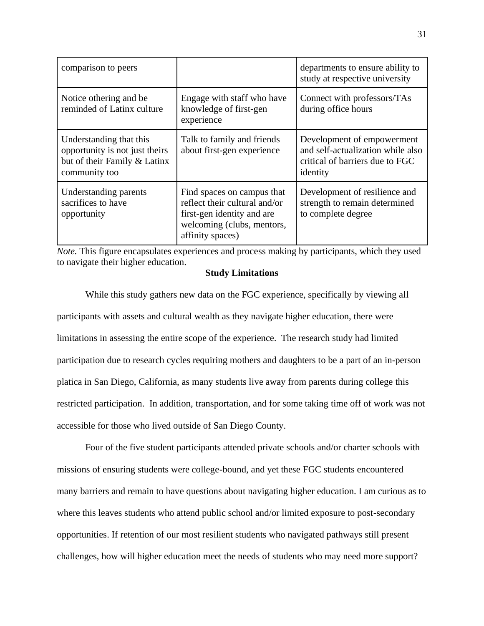| comparison to peers                                                                                        |                                                                                                                                             | departments to ensure ability to<br>study at respective university                                             |
|------------------------------------------------------------------------------------------------------------|---------------------------------------------------------------------------------------------------------------------------------------------|----------------------------------------------------------------------------------------------------------------|
| Notice othering and be.<br>reminded of Latinx culture                                                      | Engage with staff who have<br>knowledge of first-gen<br>experience                                                                          | Connect with professors/TAs<br>during office hours                                                             |
| Understanding that this<br>opportunity is not just theirs<br>but of their Family & Latinx<br>community too | Talk to family and friends<br>about first-gen experience                                                                                    | Development of empowerment<br>and self-actualization while also<br>critical of barriers due to FGC<br>identity |
| Understanding parents<br>sacrifices to have<br>opportunity                                                 | Find spaces on campus that<br>reflect their cultural and/or<br>first-gen identity and are<br>welcoming (clubs, mentors,<br>affinity spaces) | Development of resilience and<br>strength to remain determined<br>to complete degree                           |

<span id="page-31-0"></span>*Note.* This figure encapsulates experiences and process making by participants, which they used to navigate their higher education.

### **Study [Limitations](https://docs.google.com/document/d/1zER8wWb33expZE8lewp7r7SBRV27pFMtmY2C9AoTCNw/edit#heading=h.5lapwoeuudp)**

While this study gathers new data on the FGC experience, specifically by viewing all participants with assets and cultural wealth as they navigate higher education, there were limitations in assessing the entire scope of the experience. The research study had limited participation due to research cycles requiring mothers and daughters to be a part of an in-person platica in San Diego, California, as many students live away from parents during college this restricted participation. In addition, transportation, and for some taking time off of work was not accessible for those who lived outside of San Diego County.

Four of the five student participants attended private schools and/or charter schools with missions of ensuring students were college-bound, and yet these FGC students encountered many barriers and remain to have questions about navigating higher education. I am curious as to where this leaves students who attend public school and/or limited exposure to post-secondary opportunities. If retention of our most resilient students who navigated pathways still present challenges, how will higher education meet the needs of students who may need more support?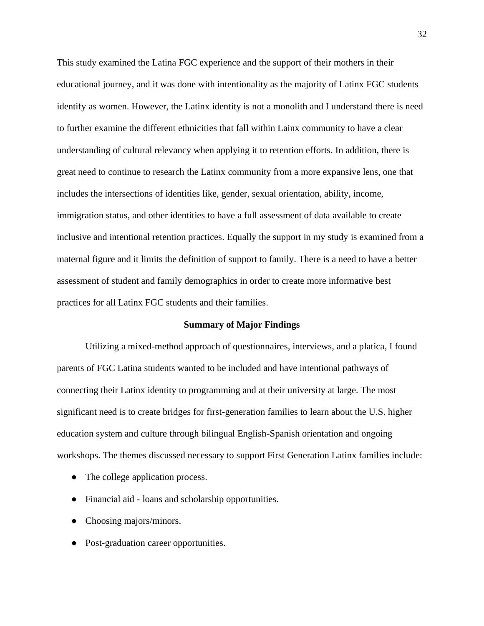This study examined the Latina FGC experience and the support of their mothers in their educational journey, and it was done with intentionality as the majority of Latinx FGC students identify as women. However, the Latinx identity is not a monolith and I understand there is need to further examine the different ethnicities that fall within Lainx community to have a clear understanding of cultural relevancy when applying it to retention efforts. In addition, there is great need to continue to research the Latinx community from a more expansive lens, one that includes the intersections of identities like, gender, sexual orientation, ability, income, immigration status, and other identities to have a full assessment of data available to create inclusive and intentional retention practices. Equally the support in my study is examined from a maternal figure and it limits the definition of support to family. There is a need to have a better assessment of student and family demographics in order to create more informative best practices for all Latinx FGC students and their families.

#### **Summary of Major Findings**

<span id="page-32-0"></span>Utilizing a mixed-method approach of questionnaires, interviews, and a platica, I found parents of FGC Latina students wanted to be included and have intentional pathways of connecting their Latinx identity to programming and at their university at large. The most significant need is to create bridges for first-generation families to learn about the U.S. higher education system and culture through bilingual English-Spanish orientation and ongoing workshops. The themes discussed necessary to support First Generation Latinx families include:

- The college application process.
- Financial aid loans and scholarship opportunities.
- Choosing majors/minors.
- Post-graduation career opportunities.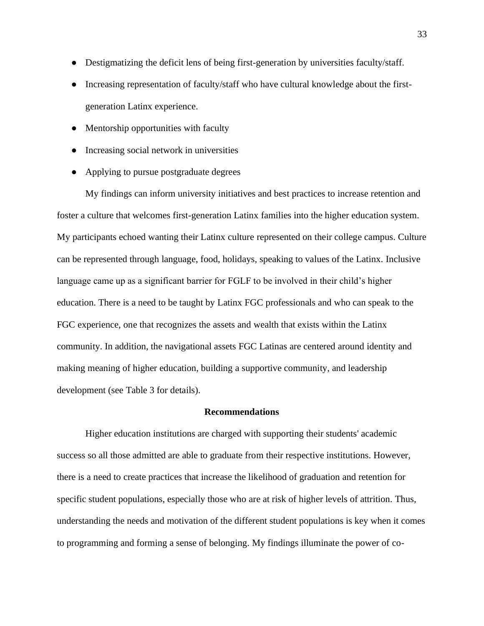- Destigmatizing the deficit lens of being first-generation by universities faculty/staff.
- Increasing representation of faculty/staff who have cultural knowledge about the firstgeneration Latinx experience.
- Mentorship opportunities with faculty
- Increasing social network in universities
- Applying to pursue postgraduate degrees

My findings can inform university initiatives and best practices to increase retention and foster a culture that welcomes first-generation Latinx families into the higher education system. My participants echoed wanting their Latinx culture represented on their college campus. Culture can be represented through language, food, holidays, speaking to values of the Latinx. Inclusive language came up as a significant barrier for FGLF to be involved in their child's higher education. There is a need to be taught by Latinx FGC professionals and who can speak to the FGC experience, one that recognizes the assets and wealth that exists within the Latinx community. In addition, the navigational assets FGC Latinas are centered around identity and making meaning of higher education, building a supportive community, and leadership development (see Table 3 for details).

#### **Recommendations**

<span id="page-33-0"></span>Higher education institutions are charged with supporting their students' academic success so all those admitted are able to graduate from their respective institutions. However, there is a need to create practices that increase the likelihood of graduation and retention for specific student populations, especially those who are at risk of higher levels of attrition. Thus, understanding the needs and motivation of the different student populations is key when it comes to programming and forming a sense of belonging. My findings illuminate the power of co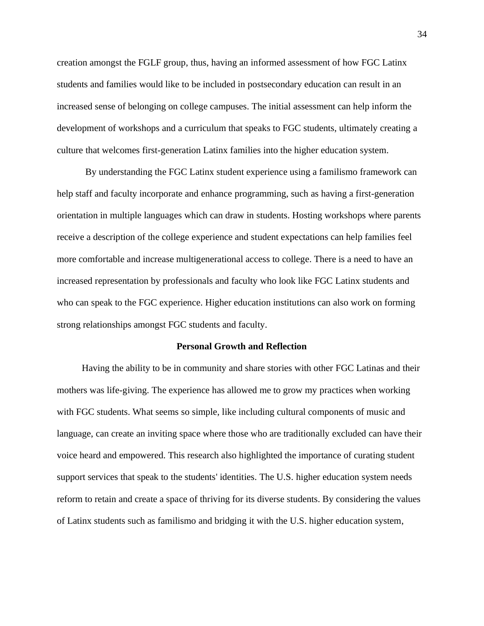creation amongst the FGLF group, thus, having an informed assessment of how FGC Latinx students and families would like to be included in postsecondary education can result in an increased sense of belonging on college campuses. The initial assessment can help inform the development of workshops and a curriculum that speaks to FGC students, ultimately creating a culture that welcomes first-generation Latinx families into the higher education system.

By understanding the FGC Latinx student experience using a familismo framework can help staff and faculty incorporate and enhance programming, such as having a first-generation orientation in multiple languages which can draw in students. Hosting workshops where parents receive a description of the college experience and student expectations can help families feel more comfortable and increase multigenerational access to college. There is a need to have an increased representation by professionals and faculty who look like FGC Latinx students and who can speak to the FGC experience. Higher education institutions can also work on forming strong relationships amongst FGC students and faculty.

#### **Personal Growth and Reflection**

<span id="page-34-0"></span>Having the ability to be in community and share stories with other FGC Latinas and their mothers was life-giving. The experience has allowed me to grow my practices when working with FGC students. What seems so simple, like including cultural components of music and language, can create an inviting space where those who are traditionally excluded can have their voice heard and empowered. This research also highlighted the importance of curating student support services that speak to the students' identities. The U.S. higher education system needs reform to retain and create a space of thriving for its diverse students. By considering the values of Latinx students such as familismo and bridging it with the U.S. higher education system,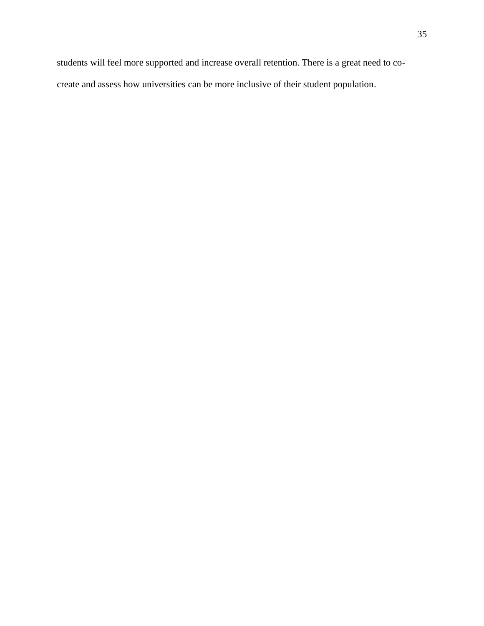students will feel more supported and increase overall retention. There is a great need to cocreate and assess how universities can be more inclusive of their student population.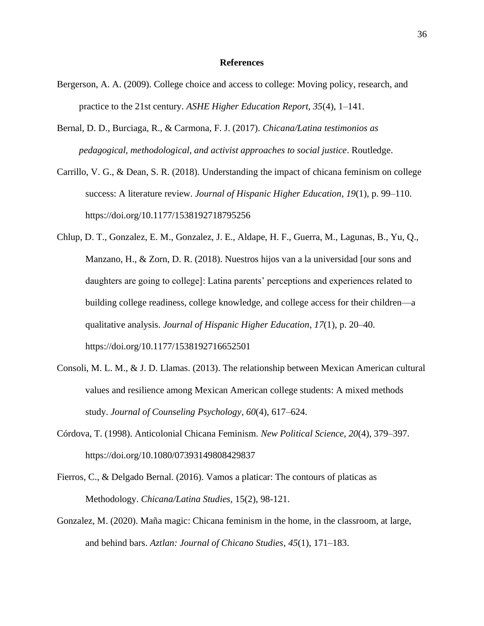#### **References**

- <span id="page-36-0"></span>Bergerson, A. A. (2009). College choice and access to college: Moving policy, research, and practice to the 21st century. *ASHE Higher Education Report, 35*(4), 1–141.
- Bernal, D. D., Burciaga, R., & Carmona, F. J. (2017). *Chicana/Latina testimonios as pedagogical, methodological, and activist approaches to social justice*. Routledge.
- Carrillo, V. G., & Dean, S. R. (2018). Understanding the impact of chicana feminism on college success: A literature review. *Journal of Hispanic Higher Education*, *19*(1), p. 99–110. <https://doi.org/10.1177/1538192718795256>
- Chlup, D. T., Gonzalez, E. M., Gonzalez, J. E., Aldape, H. F., Guerra, M., Lagunas, B., Yu, Q., Manzano, H., & Zorn, D. R. (2018). Nuestros hijos van a la universidad [our sons and daughters are going to college]: Latina parents' perceptions and experiences related to building college readiness, college knowledge, and college access for their children—a qualitative analysis. *Journal of Hispanic Higher Education*, *17*(1), p. 20–40. <https://doi.org/10.1177/1538192716652501>
- Consoli, M. L. M., & J. D. Llamas. (2013). The relationship between Mexican American cultural values and resilience among Mexican American college students: A mixed methods study. *Journal of Counseling Psychology, 60*(4), 617–624.
- Córdova, T. (1998). Anticolonial Chicana Feminism. *New Political Science*, *20*(4), 379–397. <https://doi.org/10.1080/07393149808429837>
- Fierros, C., & Delgado Bernal. (2016). Vamos a platicar: The contours of platicas as Methodology. *Chicana/Latina Studies,* 15(2), 98-121.
- Gonzalez, M. (2020). Maña magic: Chicana feminism in the home, in the classroom, at large, and behind bars. *Aztlan: Journal of Chicano Studies*, *45*(1), 171–183.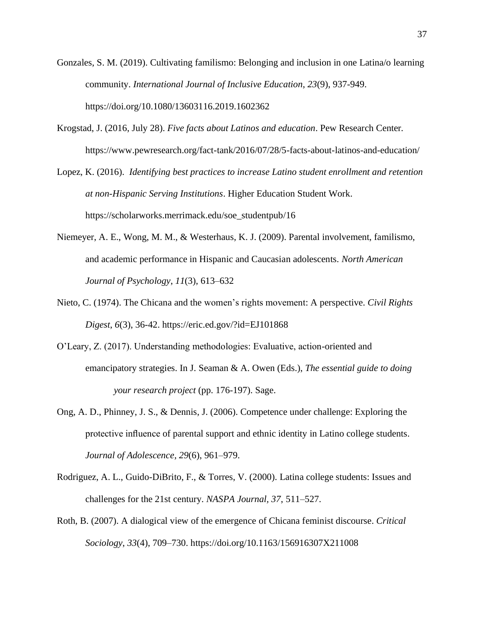- Gonzales, S. M. (2019). Cultivating familismo: Belonging and inclusion in one Latina/o learning community. *International Journal of Inclusive Education*, *23*(9), 937-949. <https://doi.org/10.1080/13603116.2019.1602362>
- Krogstad, J. (2016, July 28). *Five facts about Latinos and education*. Pew Research Center*.* <https://www.pewresearch.org/fact-tank/2016/07/28/5-facts-about-latinos-and-education/>
- Lopez, K. (2016). *Identifying best practices to increase Latino student enrollment and retention at non-Hispanic Serving Institutions*. Higher Education Student Work. [https://scholarworks.merrimack.edu/soe\\_studentpub/16](https://scholarworks.merrimack.edu/soe_studentpub/16)
- Niemeyer, A. E., Wong, M. M., & Westerhaus, K. J. (2009). Parental involvement, familismo, and academic performance in Hispanic and Caucasian adolescents. *North American Journal of Psychology*, *11*(3), 613–632
- Nieto, C. (1974). The Chicana and the women's rights movement: A perspective. *Civil Rights Digest*, *6*(3), 36-42. <https://eric.ed.gov/?id=EJ101868>
- O'Leary, Z. (2017). Understanding methodologies: Evaluative, action-oriented and emancipatory strategies. In J. Seaman & A. Owen (Eds.), *The essential guide to doing your research project* (pp. 176-197). Sage.
- Ong, A. D., Phinney, J. S., & Dennis, J. (2006). Competence under challenge: Exploring the protective influence of parental support and ethnic identity in Latino college students. *Journal of Adolescence, 29*(6), 961–979.
- Rodriguez, A. L., Guido-DiBrito, F., & Torres, V. (2000). Latina college students: Issues and challenges for the 21st century. *NASPA Journal, 37*, 511–527.
- Roth, B. (2007). A dialogical view of the emergence of Chicana feminist discourse. *Critical Sociology*, *33*(4), 709–730. <https://doi.org/10.1163/156916307X211008>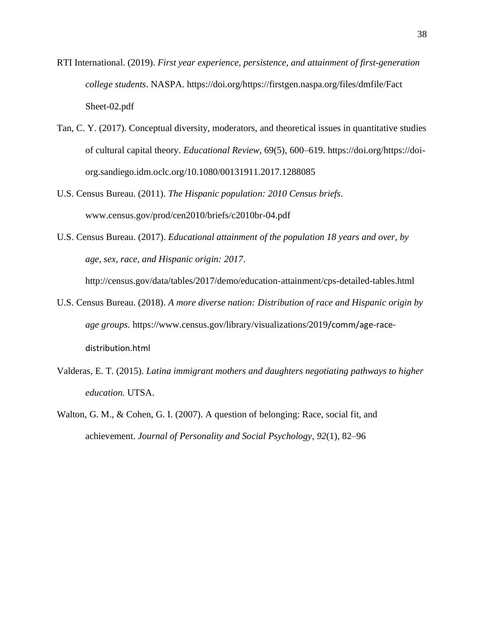RTI International. (2019). *First year experience, persistence, and attainment of first-generation college students*. NASPA. [https://doi.org/https://firstgen.naspa.org/files/dmfile/Fact](https://doi.org/https:/firstgen.naspa.org/files/dmfile/Fact%20Sheet-02.pdf)  [Sheet-02.pdf](https://doi.org/https:/firstgen.naspa.org/files/dmfile/Fact%20Sheet-02.pdf)

- Tan, C. Y. (2017). Conceptual diversity, moderators, and theoretical issues in quantitative studies of cultural capital theory. *Educational Review*, 69(5), 600–619. [https://doi.org/https://doi](https://doi.org/https:/doi-org.sandiego.idm.oclc.org/10.1080/00131911.2017.1288085)[org.sandiego.idm.oclc.org/10.1080/00131911.2017.1288085](https://doi.org/https:/doi-org.sandiego.idm.oclc.org/10.1080/00131911.2017.1288085)
- U.S. Census Bureau. (2011). *The Hispanic population: 2010 Census briefs*. [www.census.gov/prod/cen2010/briefs/c2010br-04.pdf](http://www.census.gov/prod/cen2010/briefs/c2010br-04.pdf)
- U.S. Census Bureau. (2017). *Educational attainment of the population 18 years and over, by age, sex, race, and Hispanic origin: 2017*.

[http://census.gov/data/tables/2017/demo/education-attainment/cps-detailed-tables.html](http://census.gov/data/%20tables/2017/demo/education-attainment/cps-detailed-tables.html)

- U.S. Census Bureau. (2018). *A more diverse nation: Distribution of race and Hispanic origin by age groups.* [https://www.census.gov/library/visualizations/2019](https://www.census.gov/library/visualizations/2019%20/comm/age-race-distribution.html)/comm/age-race[distribution.html](https://www.census.gov/library/visualizations/2019%20/comm/age-race-distribution.html)
- Valderas, E. T. (2015). *Latina immigrant mothers and daughters negotiating pathways to higher education.* UTSA.
- Walton, G. M., & Cohen, G. I. (2007). A question of belonging: Race, social fit, and achievement. *Journal of Personality and Social Psychology, 92*(1), 82–96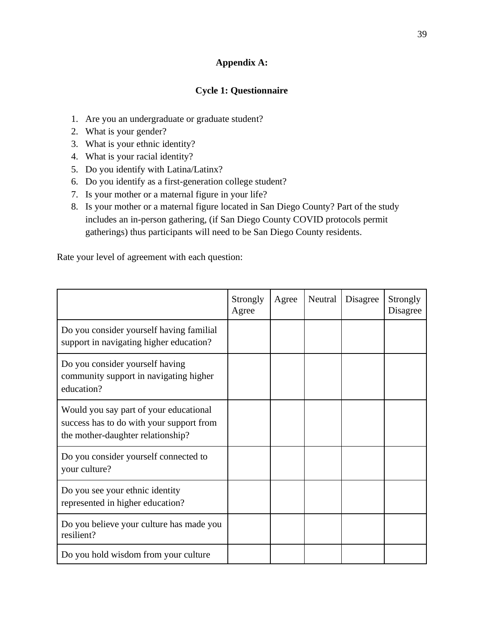# **Appendix A:**

# **Cycle 1: Questionnaire**

- 1. Are you an undergraduate or graduate student?
- 2. What is your gender?
- 3. What is your ethnic identity?
- 4. What is your racial identity?
- 5. Do you identify with Latina/Latinx?
- 6. Do you identify as a first-generation college student?
- 7. Is your mother or a maternal figure in your life?
- 8. Is your mother or a maternal figure located in San Diego County? Part of the study includes an in-person gathering, (if San Diego County COVID protocols permit gatherings) thus participants will need to be San Diego County residents.

Rate your level of agreement with each question:

|                                                                                                                         | Strongly<br>Agree | Agree | Neutral | Disagree | Strongly<br>Disagree |
|-------------------------------------------------------------------------------------------------------------------------|-------------------|-------|---------|----------|----------------------|
| Do you consider yourself having familial<br>support in navigating higher education?                                     |                   |       |         |          |                      |
| Do you consider yourself having<br>community support in navigating higher<br>education?                                 |                   |       |         |          |                      |
| Would you say part of your educational<br>success has to do with your support from<br>the mother-daughter relationship? |                   |       |         |          |                      |
| Do you consider yourself connected to<br>your culture?                                                                  |                   |       |         |          |                      |
| Do you see your ethnic identity<br>represented in higher education?                                                     |                   |       |         |          |                      |
| Do you believe your culture has made you<br>resilient?                                                                  |                   |       |         |          |                      |
| Do you hold wisdom from your culture                                                                                    |                   |       |         |          |                      |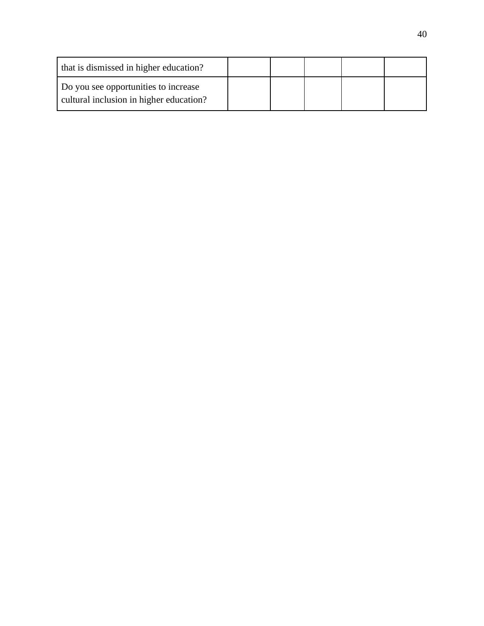| that is dismissed in higher education?                                          |  |  |  |
|---------------------------------------------------------------------------------|--|--|--|
| Do you see opportunities to increase<br>cultural inclusion in higher education? |  |  |  |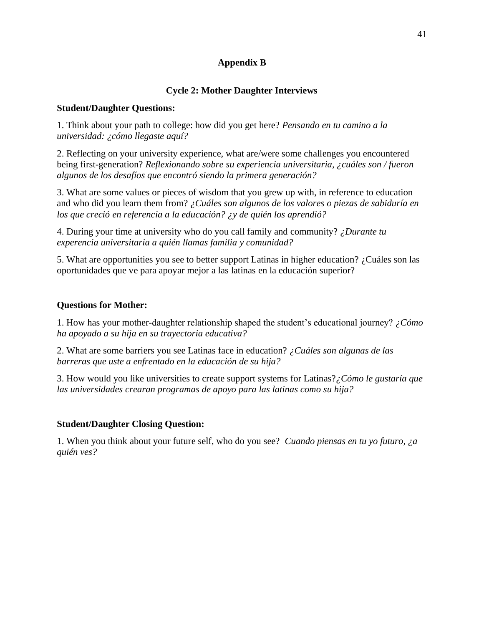# **Appendix B**

## **Cycle 2: Mother Daughter Interviews**

## **Student/Daughter Questions:**

1. Think about your path to college: how did you get here? *Pensando en tu camino a la universidad: ¿cómo llegaste aquí?*

2. Reflecting on your university experience, what are/were some challenges you encountered being first-generation? *Reflexionando sobre su experiencia universitaria, ¿cuáles son / fueron algunos de los desafíos que encontró siendo la primera generación?*

3. What are some values or pieces of wisdom that you grew up with, in reference to education and who did you learn them from? *¿Cuáles son algunos de los valores o piezas de sabiduría en los que creció en referencia a la educación? ¿y de quién los aprendió?*

4. During your time at university who do you call family and community? *¿Durante tu experencia universitaria a quién llamas familia y comunidad?*

5. What are opportunities you see to better support Latinas in higher education? ¿Cuáles son las oportunidades que ve para apoyar mejor a las latinas en la educación superior?

## **Questions for Mother:**

1. How has your mother-daughter relationship shaped the student's educational journey? *¿Cómo ha apoyado a su hija en su trayectoria educativa?*

2. What are some barriers you see Latinas face in education? *¿Cuáles son algunas de las barreras que uste a enfrentado en la educación de su hija?* 

3. How would you like universities to create support systems for Latinas?*¿Cómo le gustaría que las universidades crearan programas de apoyo para las latinas como su hija?* 

## **Student/Daughter Closing Question:**

1. When you think about your future self, who do you see? *Cuando piensas en tu yo futuro, ¿a quién ves?*